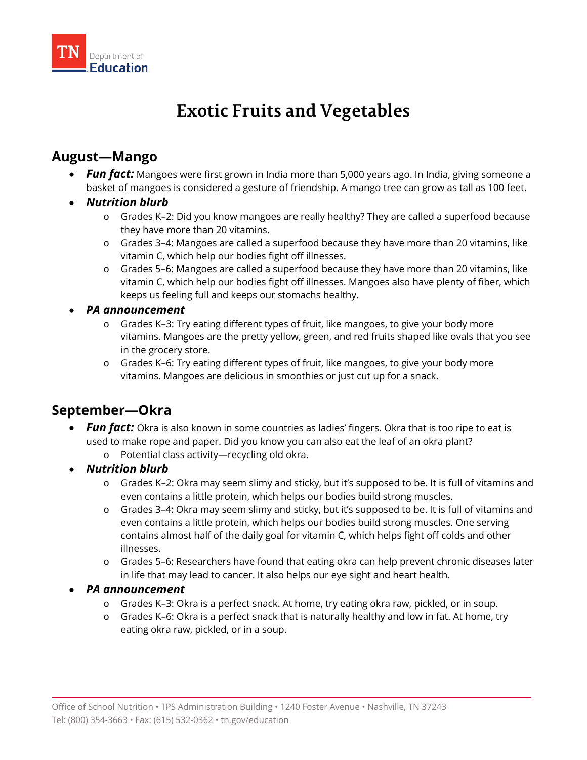

# **Exotic Fruits and Vegetables**

### **August—Mango**

- *Fun fact:* Mangoes were first grown in India more than 5,000 years ago. In India, giving someone a basket of mangoes is considered a gesture of friendship. A mango tree can grow as tall as 100 feet.
- *Nutrition blurb*
	- o Grades K–2: Did you know mangoes are really healthy? They are called a superfood because they have more than 20 vitamins.
	- o Grades 3–4: Mangoes are called a superfood because they have more than 20 vitamins, like vitamin C, which help our bodies fight off illnesses.
	- o Grades 5–6: Mangoes are called a superfood because they have more than 20 vitamins, like vitamin C, which help our bodies fight off illnesses. Mangoes also have plenty of fiber, which keeps us feeling full and keeps our stomachs healthy.
- *PA announcement*
	- o Grades K–3: Try eating different types of fruit, like mangoes, to give your body more vitamins. Mangoes are the pretty yellow, green, and red fruits shaped like ovals that you see in the grocery store.
	- o Grades K–6: Try eating different types of fruit, like mangoes, to give your body more vitamins. Mangoes are delicious in smoothies or just cut up for a snack.

## **September—Okra**

- **Fun fact:** Okra is also known in some countries as ladies' fingers. Okra that is too ripe to eat is used to make rope and paper. Did you know you can also eat the leaf of an okra plant?
	- o Potential class activity—recycling old okra.
- *Nutrition blurb*
	- o Grades K–2: Okra may seem slimy and sticky, but it's supposed to be. It is full of vitamins and even contains a little protein, which helps our bodies build strong muscles.
	- o Grades 3–4: Okra may seem slimy and sticky, but it's supposed to be. It is full of vitamins and even contains a little protein, which helps our bodies build strong muscles. One serving contains almost half of the daily goal for vitamin C, which helps fight off colds and other illnesses.
	- o Grades 5–6: Researchers have found that eating okra can help prevent chronic diseases later in life that may lead to cancer. It also helps our eye sight and heart health.

#### • *PA announcement*

- o Grades K–3: Okra is a perfect snack. At home, try eating okra raw, pickled, or in soup.
- o Grades K–6: Okra is a perfect snack that is naturally healthy and low in fat. At home, try eating okra raw, pickled, or in a soup.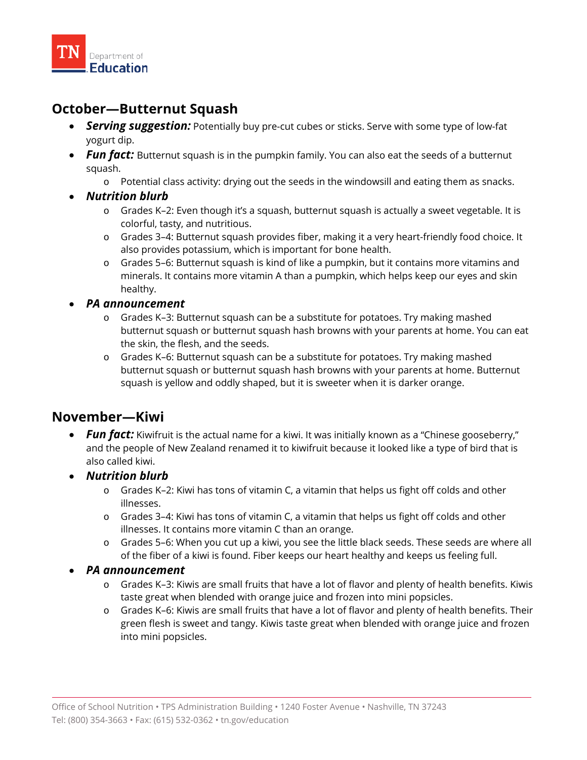

### **October—Butternut Squash**

- *Serving suggestion:* Potentially buy pre-cut cubes or sticks. Serve with some type of low-fat yogurt dip.
- *Fun fact:* Butternut squash is in the pumpkin family. You can also eat the seeds of a butternut squash.
	- o Potential class activity: drying out the seeds in the windowsill and eating them as snacks.

#### • *Nutrition blurb*

- o Grades K–2: Even though it's a squash, butternut squash is actually a sweet vegetable. It is colorful, tasty, and nutritious.
- o Grades 3–4: Butternut squash provides fiber, making it a very heart-friendly food choice. It also provides potassium, which is important for bone health.
- o Grades 5–6: Butternut squash is kind of like a pumpkin, but it contains more vitamins and minerals. It contains more vitamin A than a pumpkin, which helps keep our eyes and skin healthy.
- *PA announcement* 
	- o Grades K–3: Butternut squash can be a substitute for potatoes. Try making mashed butternut squash or butternut squash hash browns with your parents at home. You can eat the skin, the flesh, and the seeds.
	- o Grades K–6: Butternut squash can be a substitute for potatoes. Try making mashed butternut squash or butternut squash hash browns with your parents at home. Butternut squash is yellow and oddly shaped, but it is sweeter when it is darker orange.

### **November—Kiwi**

- *Fun fact:* Kiwifruit is the actual name for a kiwi. It was initially known as a "Chinese gooseberry," and the people of New Zealand renamed it to kiwifruit because it looked like a type of bird that is also called kiwi.
- *Nutrition blurb*
	- o Grades K–2: Kiwi has tons of vitamin C, a vitamin that helps us fight off colds and other illnesses.
	- o Grades 3–4: Kiwi has tons of vitamin C, a vitamin that helps us fight off colds and other illnesses. It contains more vitamin C than an orange.
	- o Grades 5–6: When you cut up a kiwi, you see the little black seeds. These seeds are where all of the fiber of a kiwi is found. Fiber keeps our heart healthy and keeps us feeling full.

#### • *PA announcement*

- o Grades K–3: Kiwis are small fruits that have a lot of flavor and plenty of health benefits. Kiwis taste great when blended with orange juice and frozen into mini popsicles.
- o Grades K–6: Kiwis are small fruits that have a lot of flavor and plenty of health benefits. Their green flesh is sweet and tangy. Kiwis taste great when blended with orange juice and frozen into mini popsicles.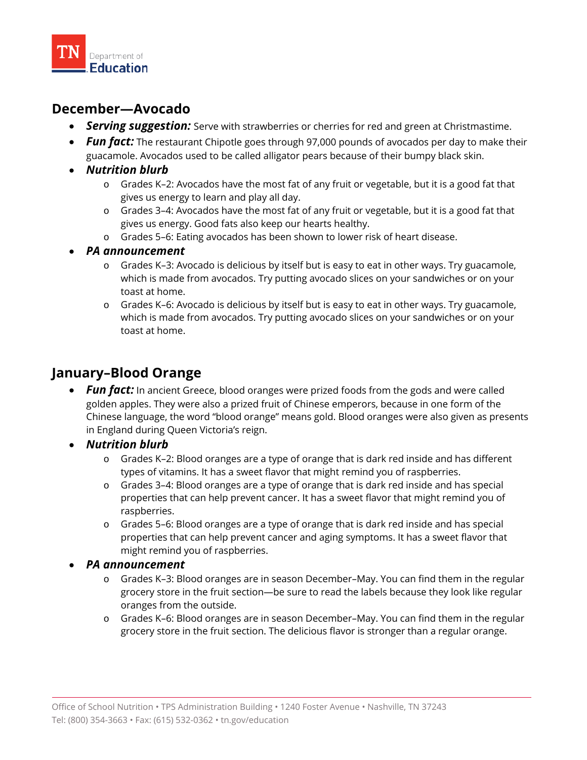### **December—Avocado**

- *Serving suggestion:* Serve with strawberries or cherries for red and green at Christmastime.
- **Fun fact:** The restaurant Chipotle goes through 97,000 pounds of avocados per day to make their guacamole. Avocados used to be called alligator pears because of their bumpy black skin.
- *Nutrition blurb*
	- o Grades K–2: Avocados have the most fat of any fruit or vegetable, but it is a good fat that gives us energy to learn and play all day.
	- o Grades 3–4: Avocados have the most fat of any fruit or vegetable, but it is a good fat that gives us energy. Good fats also keep our hearts healthy.
	- o Grades 5–6: Eating avocados has been shown to lower risk of heart disease.

#### • *PA announcement*

- o Grades K–3: Avocado is delicious by itself but is easy to eat in other ways. Try guacamole, which is made from avocados. Try putting avocado slices on your sandwiches or on your toast at home.
- o Grades K–6: Avocado is delicious by itself but is easy to eat in other ways. Try guacamole, which is made from avocados. Try putting avocado slices on your sandwiches or on your toast at home.

### **January–Blood Orange**

- **Fun fact:** In ancient Greece, blood oranges were prized foods from the gods and were called golden apples. They were also a prized fruit of Chinese emperors, because in one form of the Chinese language, the word "blood orange" means gold. Blood oranges were also given as presents in England during Queen Victoria's reign.
- *Nutrition blurb*
	- o Grades K–2: Blood oranges are a type of orange that is dark red inside and has different types of vitamins. It has a sweet flavor that might remind you of raspberries.
	- o Grades 3–4: Blood oranges are a type of orange that is dark red inside and has special properties that can help prevent cancer. It has a sweet flavor that might remind you of raspberries.
	- o Grades 5–6: Blood oranges are a type of orange that is dark red inside and has special properties that can help prevent cancer and aging symptoms. It has a sweet flavor that might remind you of raspberries.

#### • *PA announcement*

- o Grades K–3: Blood oranges are in season December–May. You can find them in the regular grocery store in the fruit section—be sure to read the labels because they look like regular oranges from the outside.
- o Grades K–6: Blood oranges are in season December–May. You can find them in the regular grocery store in the fruit section. The delicious flavor is stronger than a regular orange.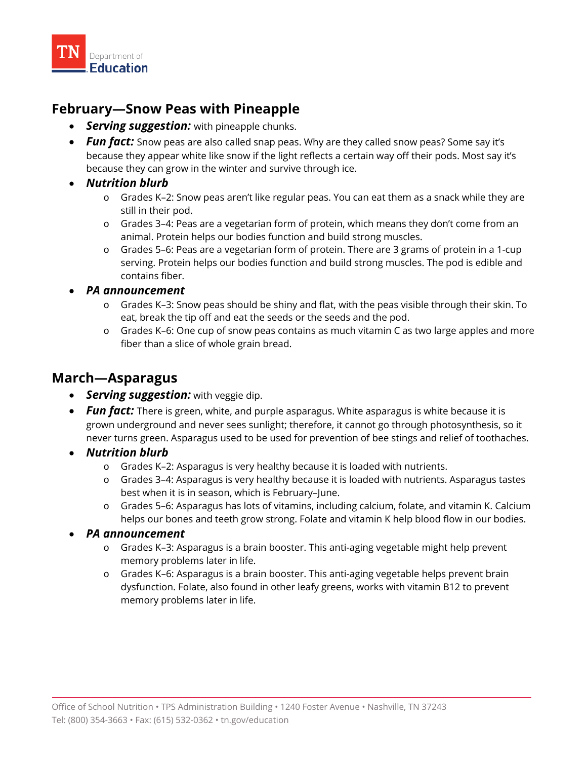

### **February—Snow Peas with Pineapple**

- *Serving suggestion:* with pineapple chunks.
- **Fun fact:** Snow peas are also called snap peas. Why are they called snow peas? Some say it's because they appear white like snow if the light reflects a certain way off their pods. Most say it's because they can grow in the winter and survive through ice.
- *Nutrition blurb*
	- o Grades K–2: Snow peas aren't like regular peas. You can eat them as a snack while they are still in their pod.
	- o Grades 3–4: Peas are a vegetarian form of protein, which means they don't come from an animal. Protein helps our bodies function and build strong muscles.
	- o Grades 5–6: Peas are a vegetarian form of protein. There are 3 grams of protein in a 1-cup serving. Protein helps our bodies function and build strong muscles. The pod is edible and contains fiber.
- *PA announcement* 
	- o Grades K–3: Snow peas should be shiny and flat, with the peas visible through their skin. To eat, break the tip off and eat the seeds or the seeds and the pod.
	- o Grades K–6: One cup of snow peas contains as much vitamin C as two large apples and more fiber than a slice of whole grain bread.

### **March—Asparagus**

- *Serving suggestion:* with veggie dip.
- *Fun fact:* There is green, white, and purple asparagus. White asparagus is white because it is grown underground and never sees sunlight; therefore, it cannot go through photosynthesis, so it never turns green. Asparagus used to be used for prevention of bee stings and relief of toothaches.
- *Nutrition blurb*
	- o Grades K–2: Asparagus is very healthy because it is loaded with nutrients.
	- o Grades 3–4: Asparagus is very healthy because it is loaded with nutrients. Asparagus tastes best when it is in season, which is February–June.
	- o Grades 5–6: Asparagus has lots of vitamins, including calcium, folate, and vitamin K. Calcium helps our bones and teeth grow strong. Folate and vitamin K help blood flow in our bodies.
- *PA announcement* 
	- o Grades K–3: Asparagus is a brain booster. This anti-aging vegetable might help prevent memory problems later in life.
	- o Grades K–6: Asparagus is a brain booster. This anti-aging vegetable helps prevent brain dysfunction. Folate, also found in other leafy greens, works with vitamin B12 to prevent memory problems later in life.